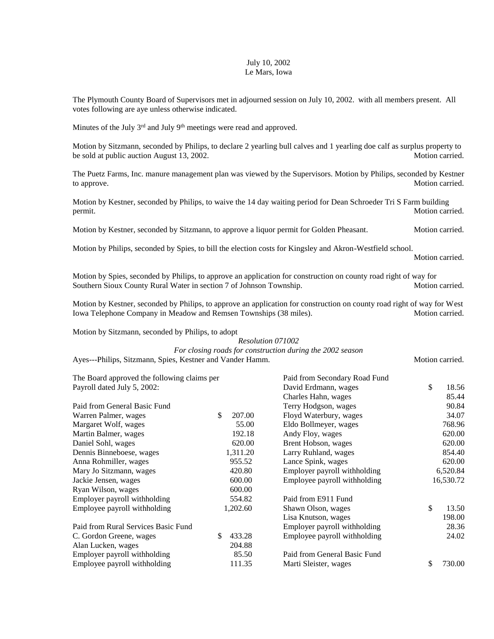## July 10, 2002 Le Mars, Iowa

The Plymouth County Board of Supervisors met in adjourned session on July 10, 2002. with all members present. All votes following are aye unless otherwise indicated.

Minutes of the July  $3<sup>rd</sup>$  and July  $9<sup>th</sup>$  meetings were read and approved.

Motion by Sitzmann, seconded by Philips, to declare 2 yearling bull calves and 1 yearling doe calf as surplus property to be sold at public auction August 13, 2002.

The Puetz Farms, Inc. manure management plan was viewed by the Supervisors. Motion by Philips, seconded by Kestner to approve. Motion carried.

Motion by Kestner, seconded by Philips, to waive the 14 day waiting period for Dean Schroeder Tri S Farm building permit. Motion carried.

Motion by Kestner, seconded by Sitzmann, to approve a liquor permit for Golden Pheasant. Motion carried.

Motion by Philips, seconded by Spies, to bill the election costs for Kingsley and Akron-Westfield school.

Motion carried.

Motion by Spies, seconded by Philips, to approve an application for construction on county road right of way for Southern Sioux County Rural Water in section 7 of Johnson Township. Motion carried.

Motion by Kestner, seconded by Philips, to approve an application for construction on county road right of way for West Iowa Telephone Company in Meadow and Remsen Townships (38 miles). Motion carried.

Motion by Sitzmann, seconded by Philips, to adopt

## *Resolution 071002*

*For closing roads for construction during the 2002 season*

Ayes---Philips, Sitzmann, Spies, Kestner and Vander Hamm. Motion carried. Motion carried.

|               | Paid from Secondary Road Fund               |              |
|---------------|---------------------------------------------|--------------|
|               | David Erdmann, wages                        | \$<br>18.56  |
|               | Charles Hahn, wages                         | 85.44        |
|               | Terry Hodgson, wages                        | 90.84        |
| \$<br>207.00  | Floyd Waterbury, wages                      | 34.07        |
| 55.00         | Eldo Bollmeyer, wages                       | 768.96       |
| 192.18        | Andy Floy, wages                            | 620.00       |
| 620.00        | Brent Hobson, wages                         | 620.00       |
| 1,311.20      | Larry Ruhland, wages                        | 854.40       |
| 955.52        | Lance Spink, wages                          | 620.00       |
| 420.80        | Employer payroll withholding                | 6,520.84     |
| 600.00        | Employee payroll withholding                | 16,530.72    |
| 600.00        |                                             |              |
| 554.82        | Paid from E911 Fund                         |              |
| 1,202.60      | Shawn Olson, wages                          | \$<br>13.50  |
|               | Lisa Knutson, wages                         | 198.00       |
|               | Employer payroll withholding                | 28.36        |
| 433.28<br>\$. | Employee payroll withholding                | 24.02        |
| 204.88        |                                             |              |
| 85.50         | Paid from General Basic Fund                |              |
| 111.35        | Marti Sleister, wages                       | \$<br>730.00 |
|               | The Board approved the following claims per |              |